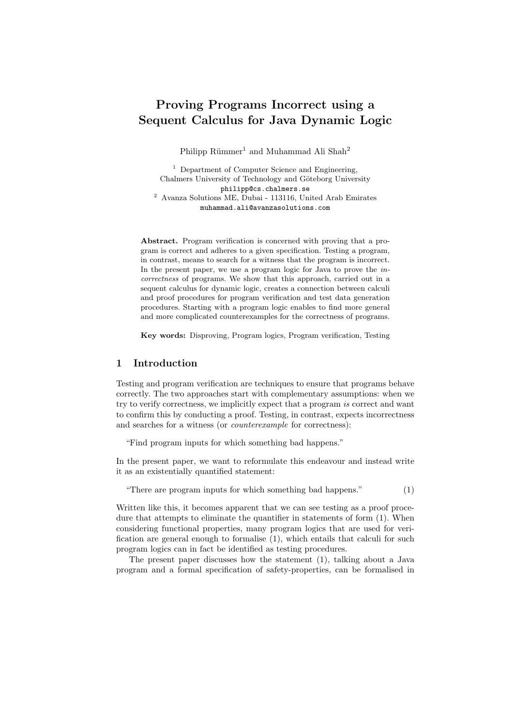# Proving Programs Incorrect using a Sequent Calculus for Java Dynamic Logic

Philipp Rümmer<sup>1</sup> and Muhammad Ali Shah<sup>2</sup>

 $<sup>1</sup>$  Department of Computer Science and Engineering,</sup> Chalmers University of Technology and Göteborg University philipp@cs.chalmers.se <sup>2</sup> Avanza Solutions ME, Dubai - 113116, United Arab Emirates muhammad.ali@avanzasolutions.com

Abstract. Program verification is concerned with proving that a program is correct and adheres to a given specification. Testing a program, in contrast, means to search for a witness that the program is incorrect. In the present paper, we use a program logic for Java to prove the *in*correctness of programs. We show that this approach, carried out in a sequent calculus for dynamic logic, creates a connection between calculi and proof procedures for program verification and test data generation procedures. Starting with a program logic enables to find more general and more complicated counterexamples for the correctness of programs.

Key words: Disproving, Program logics, Program verification, Testing

### 1 Introduction

Testing and program verification are techniques to ensure that programs behave correctly. The two approaches start with complementary assumptions: when we try to verify correctness, we implicitly expect that a program is correct and want to confirm this by conducting a proof. Testing, in contrast, expects incorrectness and searches for a witness (or counterexample for correctness):

"Find program inputs for which something bad happens."

In the present paper, we want to reformulate this endeavour and instead write it as an existentially quantified statement:

"There are program inputs for which something bad happens." (1)

Written like this, it becomes apparent that we can see testing as a proof procedure that attempts to eliminate the quantifier in statements of form (1). When considering functional properties, many program logics that are used for verification are general enough to formalise (1), which entails that calculi for such program logics can in fact be identified as testing procedures.

The present paper discusses how the statement (1), talking about a Java program and a formal specification of safety-properties, can be formalised in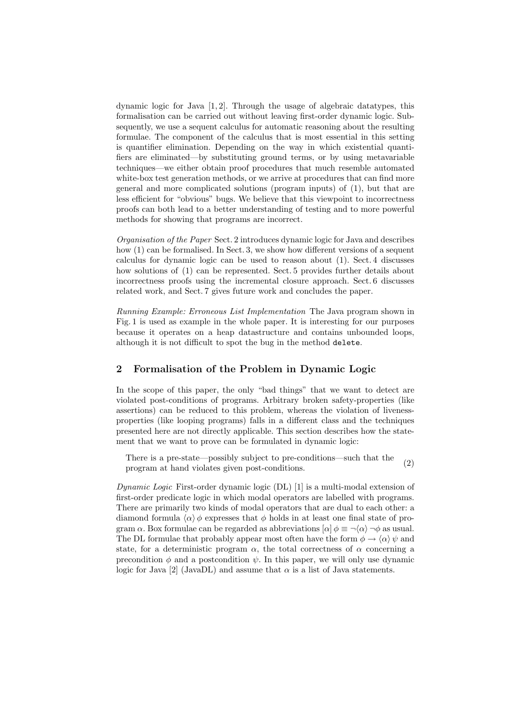dynamic logic for Java  $[1, 2]$ . Through the usage of algebraic datatypes, this formalisation can be carried out without leaving first-order dynamic logic. Subsequently, we use a sequent calculus for automatic reasoning about the resulting formulae. The component of the calculus that is most essential in this setting is quantifier elimination. Depending on the way in which existential quantifiers are eliminated—by substituting ground terms, or by using metavariable techniques—we either obtain proof procedures that much resemble automated white-box test generation methods, or we arrive at procedures that can find more general and more complicated solutions (program inputs) of (1), but that are less efficient for "obvious" bugs. We believe that this viewpoint to incorrectness proofs can both lead to a better understanding of testing and to more powerful methods for showing that programs are incorrect.

Organisation of the Paper Sect. 2 introduces dynamic logic for Java and describes how (1) can be formalised. In Sect. 3, we show how different versions of a sequent calculus for dynamic logic can be used to reason about (1). Sect. 4 discusses how solutions of (1) can be represented. Sect. 5 provides further details about incorrectness proofs using the incremental closure approach. Sect. 6 discusses related work, and Sect. 7 gives future work and concludes the paper.

Running Example: Erroneous List Implementation The Java program shown in Fig. 1 is used as example in the whole paper. It is interesting for our purposes because it operates on a heap datastructure and contains unbounded loops, although it is not difficult to spot the bug in the method delete.

### 2 Formalisation of the Problem in Dynamic Logic

In the scope of this paper, the only "bad things" that we want to detect are violated post-conditions of programs. Arbitrary broken safety-properties (like assertions) can be reduced to this problem, whereas the violation of livenessproperties (like looping programs) falls in a different class and the techniques presented here are not directly applicable. This section describes how the statement that we want to prove can be formulated in dynamic logic:

There is a pre-state—possibly subject to pre-conditions—such that the program at hand violates given post-conditions. (2)

Dynamic Logic First-order dynamic logic (DL) [1] is a multi-modal extension of first-order predicate logic in which modal operators are labelled with programs. There are primarily two kinds of modal operators that are dual to each other: a diamond formula  $\langle \alpha \rangle$  φ expresses that φ holds in at least one final state of program  $\alpha$ . Box formulae can be regarded as abbreviations  $[\alpha]$   $\phi \equiv \neg \langle \alpha \rangle \neg \phi$  as usual. The DL formulae that probably appear most often have the form  $\phi \to \langle \alpha \rangle \psi$  and state, for a deterministic program  $\alpha$ , the total correctness of  $\alpha$  concerning a precondition  $\phi$  and a postcondition  $\psi$ . In this paper, we will only use dynamic logic for Java [2] (JavaDL) and assume that  $\alpha$  is a list of Java statements.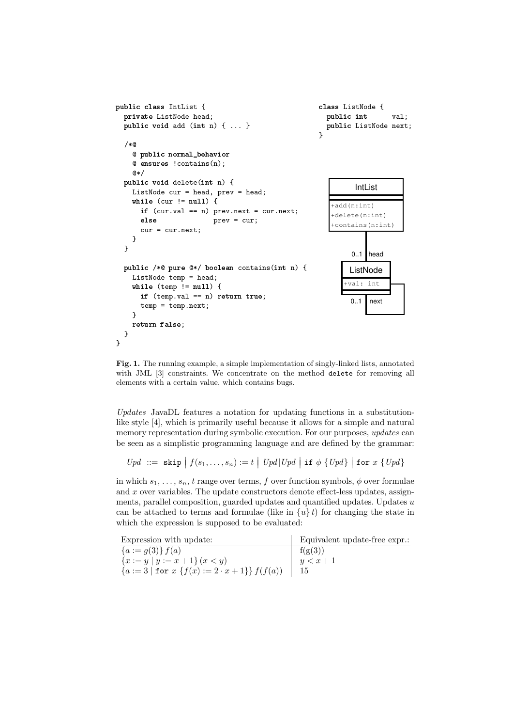

Fig. 1. The running example, a simple implementation of singly-linked lists, annotated with JML [3] constraints. We concentrate on the method delete for removing all elements with a certain value, which contains bugs.

Updates JavaDL features a notation for updating functions in a substitutionlike style [4], which is primarily useful because it allows for a simple and natural memory representation during symbolic execution. For our purposes, *updates* can be seen as a simplistic programming language and are defined by the grammar:

 $Upd \ ::= \ \texttt{skip} \ \big| \ f(s_1,\ldots,s_n) := t \ \big| \ Upd \, | \ Upd \ \big| \ \texttt{if} \ \phi \ \{ Upd\} \ \big| \ \texttt{for} \ x \ \{ Upd\}$ 

in which  $s_1, \ldots, s_n$ , t range over terms, f over function symbols,  $\phi$  over formulae and  $x$  over variables. The update constructors denote effect-less updates, assignments, parallel composition, guarded updates and quantified updates. Updates u can be attached to terms and formulae (like in  $\{u\}$  t) for changing the state in which the expression is supposed to be evaluated:

| Expression with update:                                        | Equivalent update-free expr.: |
|----------------------------------------------------------------|-------------------------------|
| ${a := q(3)} f(a)$                                             | f(g(3))                       |
| $\{x:=y \mid y:=x+1\}$ $(x < y)$                               | $y < x + 1$                   |
| ${a := 3   \text{for } x \{f(x) := 2 \cdot x + 1\} \} f(f(a))$ |                               |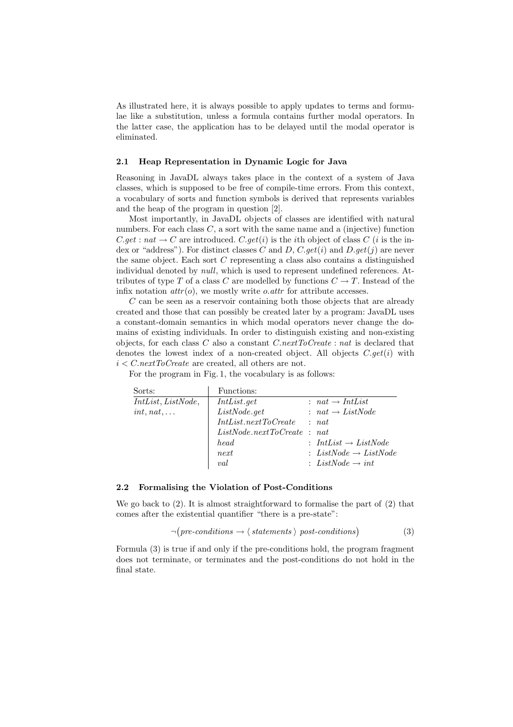As illustrated here, it is always possible to apply updates to terms and formulae like a substitution, unless a formula contains further modal operators. In the latter case, the application has to be delayed until the modal operator is eliminated.

#### 2.1 Heap Representation in Dynamic Logic for Java

Reasoning in JavaDL always takes place in the context of a system of Java classes, which is supposed to be free of compile-time errors. From this context, a vocabulary of sorts and function symbols is derived that represents variables and the heap of the program in question [2].

Most importantly, in JavaDL objects of classes are identified with natural numbers. For each class  $C$ , a sort with the same name and a (injective) function C.get : nat  $\rightarrow C$  are introduced. C.get(i) is the ith object of class C (i is the index or "address"). For distinct classes C and D, C.get(i) and D.get(j) are never the same object. Each sort  $C$  representing a class also contains a distinguished individual denoted by null, which is used to represent undefined references. Attributes of type T of a class C are modelled by functions  $C \to T$ . Instead of the infix notation  $attr(o)$ , we mostly write *o.attr* for attribute accesses.

C can be seen as a reservoir containing both those objects that are already created and those that can possibly be created later by a program: JavaDL uses a constant-domain semantics in which modal operators never change the domains of existing individuals. In order to distinguish existing and non-existing objects, for each class  $C$  also a constant  $C.nextToCreate : nat$  is declared that denotes the lowest index of a non-created object. All objects  $C.get(i)$  with  $i < C.nextToCreate$  are created, all others are not.

For the program in Fig. 1, the vocabulary is as follows:

| Sorts:             | Functions:                   |                                   |
|--------------------|------------------------------|-----------------------------------|
| IntList, ListNode, | IntList.get                  | : $nat \rightarrow IntList$       |
| $int, nat, \ldots$ | ListNode.get                 | $: nat \rightarrow ListNode$      |
|                    | $IntList.nextToCreate$ : nat |                                   |
|                    | ListNode.nextToCreate : nat  |                                   |
|                    | head                         | : $IntList \rightarrow ListNode$  |
|                    | next                         | : $ListNode \rightarrow ListNode$ |
|                    | val                          | : ListNode $\rightarrow int$      |

#### 2.2 Formalising the Violation of Post-Conditions

We go back to (2). It is almost straightforward to formalise the part of (2) that comes after the existential quantifier "there is a pre-state":

$$
\neg (pre-conditions \rightarrow \langle statements \rangle post-conditions)
$$
 (3)

Formula (3) is true if and only if the pre-conditions hold, the program fragment does not terminate, or terminates and the post-conditions do not hold in the final state.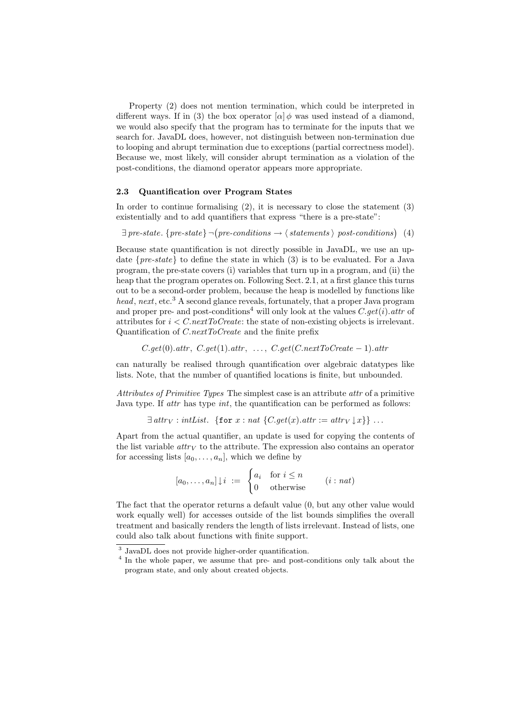Property (2) does not mention termination, which could be interpreted in different ways. If in (3) the box operator  $\alpha | \phi \rangle$  was used instead of a diamond, we would also specify that the program has to terminate for the inputs that we search for. JavaDL does, however, not distinguish between non-termination due to looping and abrupt termination due to exceptions (partial correctness model). Because we, most likely, will consider abrupt termination as a violation of the post-conditions, the diamond operator appears more appropriate.

#### 2.3 Quantification over Program States

In order to continue formalising  $(2)$ , it is necessary to close the statement  $(3)$ existentially and to add quantifiers that express "there is a pre-state":

 $\exists\ pre-state.\ \{pre-state\} \neg (pre-conditions \rightarrow \langle\ statements\rangle\ post-conditions) \tag{4}$ 

Because state quantification is not directly possible in JavaDL, we use an update  $\{pre-state\}$  to define the state in which  $(3)$  is to be evaluated. For a Java program, the pre-state covers (i) variables that turn up in a program, and (ii) the heap that the program operates on. Following Sect. 2.1, at a first glance this turns out to be a second-order problem, because the heap is modelled by functions like head, next, etc.<sup>3</sup> A second glance reveals, fortunately, that a proper Java program and proper pre- and post-conditions<sup>4</sup> will only look at the values  $C.get(i)$ . attr of attributes for  $i < C.nextToCreate$ : the state of non-existing objects is irrelevant. Quantification of C.nextToCreate and the finite prefix

 $C.get(0).attr, C.get(1).attr, ..., C.get(C.nextToCreate - 1).attr$ 

can naturally be realised through quantification over algebraic datatypes like lists. Note, that the number of quantified locations is finite, but unbounded.

Attributes of Primitive Types The simplest case is an attribute attr of a primitive Java type. If *attr* has type *int*, the quantification can be performed as follows:

 $\exists$  attr<sub>V</sub> : intList. {for x : nat {C.get(x).attr := attr<sub>V</sub>  $\{x\}$ } ...

Apart from the actual quantifier, an update is used for copying the contents of the list variable  $attr_V$  to the attribute. The expression also contains an operator for accessing lists  $[a_0, \ldots, a_n]$ , which we define by

$$
[a_0, \dots, a_n] \downarrow i := \begin{cases} a_i & \text{for } i \le n \\ 0 & \text{otherwise} \end{cases} (i : nat)
$$

The fact that the operator returns a default value (0, but any other value would work equally well) for accesses outside of the list bounds simplifies the overall treatment and basically renders the length of lists irrelevant. Instead of lists, one could also talk about functions with finite support.

<sup>3</sup> JavaDL does not provide higher-order quantification.

<sup>&</sup>lt;sup>4</sup> In the whole paper, we assume that pre- and post-conditions only talk about the program state, and only about created objects.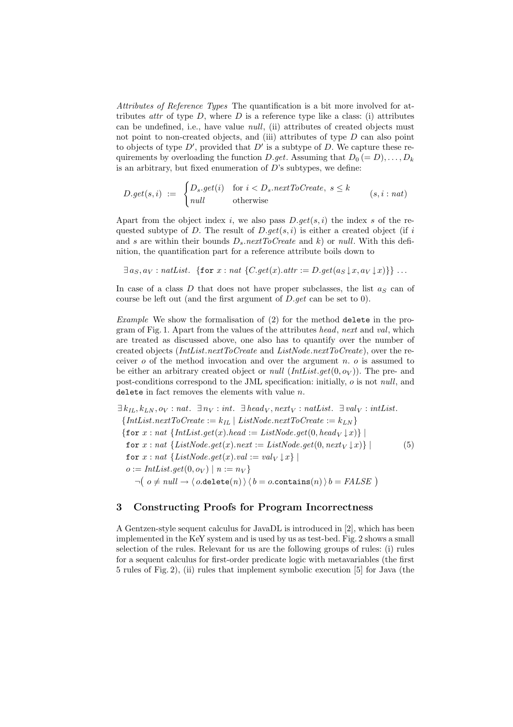Attributes of Reference Types The quantification is a bit more involved for attributes attr of type  $D$ , where  $D$  is a reference type like a class: (i) attributes can be undefined, i.e., have value *null*, (ii) attributes of created objects must not point to non-created objects, and (iii) attributes of type  $D$  can also point to objects of type  $D'$ , provided that  $D'$  is a subtype of D. We capture these requirements by overloading the function D.get. Assuming that  $D_0 (= D), \ldots, D_k$ is an arbitrary, but fixed enumeration of  $D$ 's subtypes, we define:

$$
D.get(s, i) := \begin{cases} D_s.get(i) & \text{for } i < D_s.nextToCreate, s \le k \\ null & \text{otherwise} \end{cases} (s, i : nat)
$$

Apart from the object index i, we also pass  $D.get(s, i)$  the index s of the requested subtype of D. The result of  $D.get(s, i)$  is either a created object (if i and s are within their bounds  $D_s.nextToCreate$  and k) or null. With this definition, the quantification part for a reference attribute boils down to

```
\exists a_S, a_V : \textit{natList.} {for x : \textit{nat } \{C.get(x). \textit{attr} := D.get(a_S \downarrow x, a_V \downarrow x)\}\}\...
```
In case of a class  $D$  that does not have proper subclasses, the list  $a_S$  can of course be left out (and the first argument of D.get can be set to 0).

Example We show the formalisation of (2) for the method delete in the program of Fig. 1. Apart from the values of the attributes head, next and val, which are treated as discussed above, one also has to quantify over the number of created objects (*IntList.nextToCreate* and *ListNode.nextToCreate*), over the receiver  $o$  of the method invocation and over the argument  $n$ .  $o$  is assumed to be either an arbitrary created object or *null*  $(IntList.get(0, o_V))$ . The pre- and post-conditions correspond to the JML specification: initially, o is not null, and delete in fact removes the elements with value  $n$ .

 $\exists k_{IL}, k_{LN}, o_V : nat. \exists n_V : int. \exists head_V, next_V : natList. \exists val_V : intList.$  ${IntList.nextToCreate := k_{IL} | ListNode.nextToCreate := k_{LN}}$ {for x : nat {IntList.get(x).head := ListNode.get(0, head<sub>V</sub>  $\downarrow$ x)} | for  $x : nat \{ListNode.get(x).next := ListNode.get(0, next_V \downarrow x)\}\)$ for  $x : nat$  {ListNode.get(x).val := val<sub>V</sub>  $\downarrow$  x} |  $o := IntList.get(0, o_V) \mid n := n_V$ ¬  $\left( \begin{array}{c} \rho \to \text{null} \to \text{[o,delete}(n)) \end{array} \right) \left( \begin{array}{c} b = \text{o}.\text{contains}(n) \end{array} \right) b = \text{FALSE}$ (5)

# 3 Constructing Proofs for Program Incorrectness

A Gentzen-style sequent calculus for JavaDL is introduced in [2], which has been implemented in the KeY system and is used by us as test-bed. Fig. 2 shows a small selection of the rules. Relevant for us are the following groups of rules: (i) rules for a sequent calculus for first-order predicate logic with metavariables (the first 5 rules of Fig. 2), (ii) rules that implement symbolic execution [5] for Java (the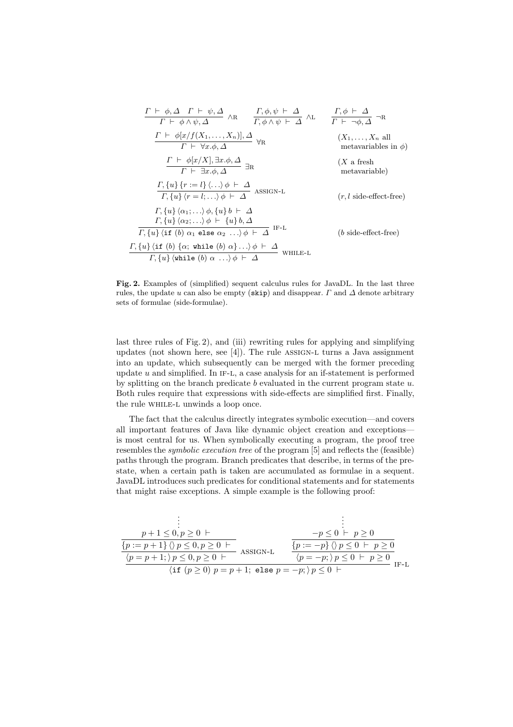$$
\frac{\Gamma \vdash \phi, \Delta \quad \Gamma \vdash \psi, \Delta}{\Gamma \vdash \phi \land \psi, \Delta} \land R \qquad \frac{\Gamma, \phi, \psi \vdash \Delta}{\Gamma, \phi \land \psi \vdash \Delta} \land L \qquad \frac{\Gamma, \phi \vdash \Delta}{\Gamma \vdash \neg \phi, \Delta} \neg R
$$
\n
$$
\frac{\Gamma \vdash \phi[x/f(X_1, \ldots, X_n)], \Delta}{\Gamma \vdash \forall x. \phi, \Delta} \forall R \qquad (X_1, \ldots, X_n \text{ all metavariables in } \phi)
$$
\n
$$
\frac{\Gamma \vdash \phi[x/X], \exists x. \phi, \Delta}{\Gamma \vdash \exists x. \phi, \Delta} \exists R \qquad (X \text{ a fresh metavariables in } \phi)
$$
\n
$$
\frac{\Gamma, \{u\} \{r := l\} \langle \ldots \rangle \phi \vdash \Delta}{\Gamma, \{u\} \langle r = l; \ldots \rangle \phi \vdash \Delta} \text{ASSIGN-L} \qquad (r, l \text{ side-effect-free})
$$
\n
$$
\frac{\Gamma, \{u\} \langle \alpha_1; \ldots \rangle \phi, \{u\} b \vdash \Delta}{\Gamma, \{u\} \langle \text{if } (b) \alpha_1 \text{ else } \alpha_2 \ldots \rangle \phi \vdash \{u\} b, \Delta}
$$
\n
$$
\frac{\Gamma, \{u\} \langle \alpha_2; \ldots \rangle \phi \vdash \{u\} b, \Delta}{\Gamma, \{u\} \langle \text{if } (b) \alpha_1 \text{ else } \alpha_2 \ldots \rangle \phi \vdash \Delta} \text{IF-L} \qquad (b \text{ side-effect-free})
$$
\n
$$
\frac{\Gamma, \{u\} \langle \text{if } (b) \alpha_1 \text{ else } \alpha_2 \ldots \rangle \phi \vdash \Delta}{\Gamma, \{u\} \langle \text{while } (b) \alpha \ldots \rangle \phi \vdash \Delta} \text{WHLE-L}
$$

Fig. 2. Examples of (simplified) sequent calculus rules for JavaDL. In the last three rules, the update u can also be empty (skip) and disappear.  $\Gamma$  and  $\Delta$  denote arbitrary sets of formulae (side-formulae).

last three rules of Fig. 2), and (iii) rewriting rules for applying and simplifying updates (not shown here, see  $[4]$ ). The rule ASSIGN-L turns a Java assignment into an update, which subsequently can be merged with the former preceding update  $u$  and simplified. In IF-L, a case analysis for an if-statement is performed by splitting on the branch predicate  $b$  evaluated in the current program state  $u$ . Both rules require that expressions with side-effects are simplified first. Finally, the rule while-l unwinds a loop once.

The fact that the calculus directly integrates symbolic execution—and covers all important features of Java like dynamic object creation and exceptions is most central for us. When symbolically executing a program, the proof tree resembles the symbolic execution tree of the program [5] and reflects the (feasible) paths through the program. Branch predicates that describe, in terms of the prestate, when a certain path is taken are accumulated as formulae in a sequent. JavaDL introduces such predicates for conditional statements and for statements that might raise exceptions. A simple example is the following proof:

$$
\vdots
$$
\n
$$
p+1 \leq 0, p \geq 0 \vdash
$$
\n
$$
\frac{\lbrace p:=p+1\rbrace \langle p \leq 0, p \geq 0 \vdash \rangle}{\lbrace p:=p+1; \rbrace p \leq 0, p \geq 0 \vdash} \text{ASSIGN-L} \qquad \frac{\lbrace p:= -p \rbrace \langle p \geq 0 \vdash p \geq 0 \rangle}{\langle p=-p; \rbrace p \leq 0 \vdash p \geq 0}
$$
\n
$$
\frac{\lbrace p:= -p \rbrace \langle p \leq 0 \vdash p \geq 0 \rangle}{\langle p=-p; \rbrace p \leq 0 \vdash} \text{IF-L}
$$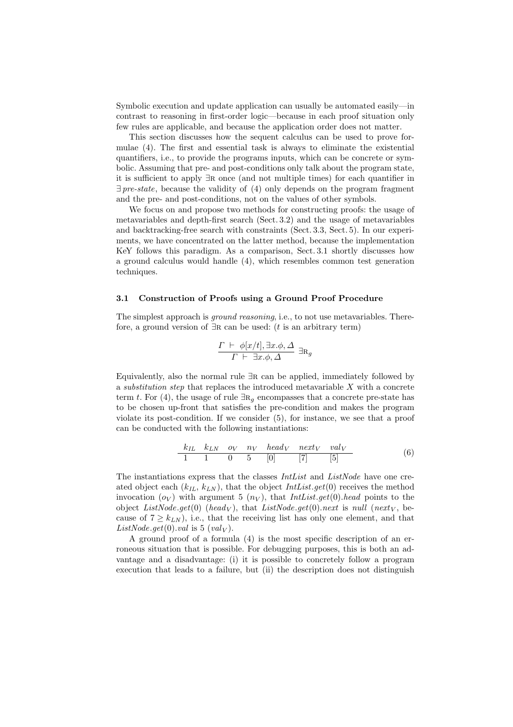Symbolic execution and update application can usually be automated easily—in contrast to reasoning in first-order logic—because in each proof situation only few rules are applicable, and because the application order does not matter.

This section discusses how the sequent calculus can be used to prove formulae (4). The first and essential task is always to eliminate the existential quantifiers, i.e., to provide the programs inputs, which can be concrete or symbolic. Assuming that pre- and post-conditions only talk about the program state, it is sufficient to apply ∃r once (and not multiple times) for each quantifier in  $\exists$  pre-state, because the validity of (4) only depends on the program fragment and the pre- and post-conditions, not on the values of other symbols.

We focus on and propose two methods for constructing proofs: the usage of metavariables and depth-first search (Sect. 3.2) and the usage of metavariables and backtracking-free search with constraints (Sect. 3.3, Sect. 5). In our experiments, we have concentrated on the latter method, because the implementation KeY follows this paradigm. As a comparison, Sect. 3.1 shortly discusses how a ground calculus would handle (4), which resembles common test generation techniques.

#### 3.1 Construction of Proofs using a Ground Proof Procedure

The simplest approach is ground reasoning, i.e., to not use metavariables. Therefore, a ground version of  $\exists$ R can be used: (t is an arbitrary term)

$$
\frac{\Gamma \ \vdash \ \phi[x/t], \exists x.\phi, \Delta}{\Gamma \ \vdash \ \exists x.\phi, \Delta} \ \exists \mathrm{R}_g
$$

Equivalently, also the normal rule  $\exists R$  can be applied, immediately followed by a substitution step that replaces the introduced metavariable X with a concrete term t. For (4), the usage of rule  $\exists R_q$  encompasses that a concrete pre-state has to be chosen up-front that satisfies the pre-condition and makes the program violate its post-condition. If we consider (5), for instance, we see that a proof can be conducted with the following instantiations:

$$
\frac{k_{IL} \quad k_{LN} \quad o_V \quad n_V \quad head_V \quad next_V \quad val_V}{1 \quad 1 \quad 0 \quad 5 \quad [0] \quad [7] \quad [5]}
$$
 (6)

The instantiations express that the classes *IntList* and *ListNode* have one created object each  $(k_{IL}, k_{LN})$ , that the object *IntList.get*(0) receives the method invocation  $(o_V)$  with argument 5  $(n_V)$ , that IntList.get(0).head points to the object ListNode.get(0) (head<sub>V</sub>), that ListNode.get(0).next is null (next<sub>V</sub>, because of  $7 \geq k_{LN}$ , i.e., that the receiving list has only one element, and that ListNode.get(0).val is 5 (val<sub>V</sub>).

A ground proof of a formula (4) is the most specific description of an erroneous situation that is possible. For debugging purposes, this is both an advantage and a disadvantage: (i) it is possible to concretely follow a program execution that leads to a failure, but (ii) the description does not distinguish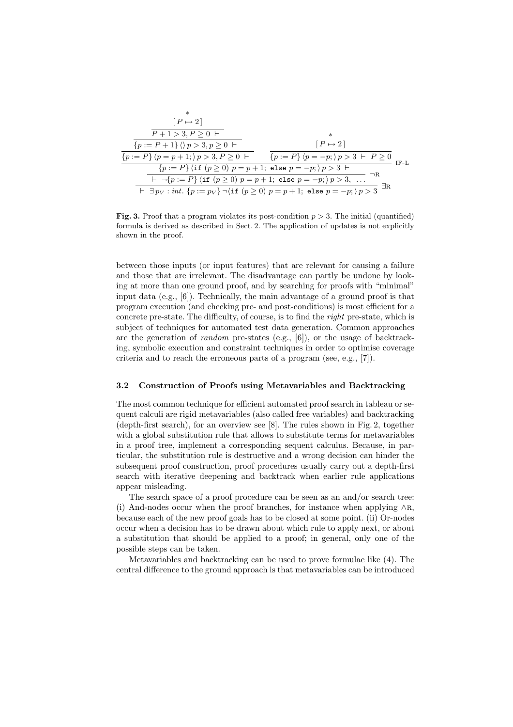

Fig. 3. Proof that a program violates its post-condition  $p > 3$ . The initial (quantified) formula is derived as described in Sect. 2. The application of updates is not explicitly shown in the proof.

between those inputs (or input features) that are relevant for causing a failure and those that are irrelevant. The disadvantage can partly be undone by looking at more than one ground proof, and by searching for proofs with "minimal" input data (e.g., [6]). Technically, the main advantage of a ground proof is that program execution (and checking pre- and post-conditions) is most efficient for a concrete pre-state. The difficulty, of course, is to find the *right* pre-state, which is subject of techniques for automated test data generation. Common approaches are the generation of random pre-states (e.g., [6]), or the usage of backtracking, symbolic execution and constraint techniques in order to optimise coverage criteria and to reach the erroneous parts of a program (see, e.g., [7]).

### 3.2 Construction of Proofs using Metavariables and Backtracking

The most common technique for efficient automated proof search in tableau or sequent calculi are rigid metavariables (also called free variables) and backtracking (depth-first search), for an overview see [8]. The rules shown in Fig. 2, together with a global substitution rule that allows to substitute terms for metavariables in a proof tree, implement a corresponding sequent calculus. Because, in particular, the substitution rule is destructive and a wrong decision can hinder the subsequent proof construction, proof procedures usually carry out a depth-first search with iterative deepening and backtrack when earlier rule applications appear misleading.

The search space of a proof procedure can be seen as an and/or search tree: (i) And-nodes occur when the proof branches, for instance when applying  $\land R$ , because each of the new proof goals has to be closed at some point. (ii) Or-nodes occur when a decision has to be drawn about which rule to apply next, or about a substitution that should be applied to a proof; in general, only one of the possible steps can be taken.

Metavariables and backtracking can be used to prove formulae like (4). The central difference to the ground approach is that metavariables can be introduced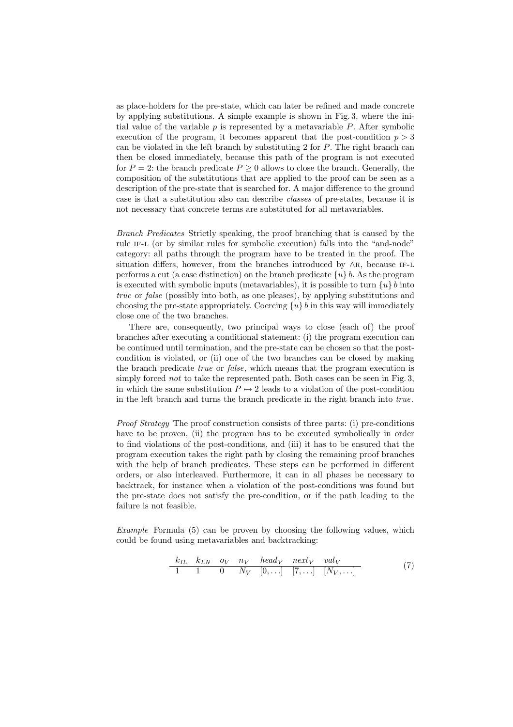as place-holders for the pre-state, which can later be refined and made concrete by applying substitutions. A simple example is shown in Fig. 3, where the initial value of the variable  $p$  is represented by a metavariable  $P$ . After symbolic execution of the program, it becomes apparent that the post-condition  $p > 3$ can be violated in the left branch by substituting  $2$  for  $P$ . The right branch can then be closed immediately, because this path of the program is not executed for  $P = 2$ : the branch predicate  $P \geq 0$  allows to close the branch. Generally, the composition of the substitutions that are applied to the proof can be seen as a description of the pre-state that is searched for. A major difference to the ground case is that a substitution also can describe classes of pre-states, because it is not necessary that concrete terms are substituted for all metavariables.

Branch Predicates Strictly speaking, the proof branching that is caused by the rule if-l (or by similar rules for symbolic execution) falls into the "and-node" category: all paths through the program have to be treated in the proof. The situation differs, however, from the branches introduced by  $\wedge R$ , because IF-L performs a cut (a case distinction) on the branch predicate  $\{u\}$  b. As the program is executed with symbolic inputs (metavariables), it is possible to turn  $\{u\}$  b into true or false (possibly into both, as one pleases), by applying substitutions and choosing the pre-state appropriately. Coercing  $\{u\}$  b in this way will immediately close one of the two branches.

There are, consequently, two principal ways to close (each of) the proof branches after executing a conditional statement: (i) the program execution can be continued until termination, and the pre-state can be chosen so that the postcondition is violated, or (ii) one of the two branches can be closed by making the branch predicate true or false, which means that the program execution is simply forced *not* to take the represented path. Both cases can be seen in Fig. 3, in which the same substitution  $P \mapsto 2$  leads to a violation of the post-condition in the left branch and turns the branch predicate in the right branch into true.

Proof Strategy The proof construction consists of three parts: (i) pre-conditions have to be proven, (ii) the program has to be executed symbolically in order to find violations of the post-conditions, and (iii) it has to be ensured that the program execution takes the right path by closing the remaining proof branches with the help of branch predicates. These steps can be performed in different orders, or also interleaved. Furthermore, it can in all phases be necessary to backtrack, for instance when a violation of the post-conditions was found but the pre-state does not satisfy the pre-condition, or if the path leading to the failure is not feasible.

Example Formula (5) can be proven by choosing the following values, which could be found using metavariables and backtracking:

$$
\frac{k_{IL} \quad k_{LN} \quad o_V \quad n_V \quad head_V \quad next_V \quad val_V}{1 \quad 1 \quad 0 \quad N_V \quad [0, \ldots] \quad [7, \ldots] \quad [N_V, \ldots]} \tag{7}
$$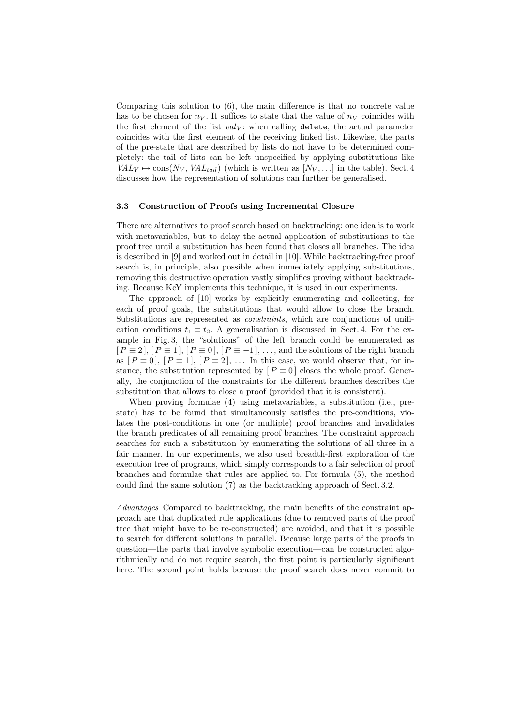Comparing this solution to (6), the main difference is that no concrete value has to be chosen for  $n<sub>V</sub>$ . It suffices to state that the value of  $n<sub>V</sub>$  coincides with the first element of the list  $val_V$ : when calling delete, the actual parameter coincides with the first element of the receiving linked list. Likewise, the parts of the pre-state that are described by lists do not have to be determined completely: the tail of lists can be left unspecified by applying substitutions like  $VAL_{V} \rightarrow \text{cons}(N_V, VAL_{tail})$  (which is written as  $[N_V, \ldots]$  in the table). Sect. 4 discusses how the representation of solutions can further be generalised.

#### 3.3 Construction of Proofs using Incremental Closure

There are alternatives to proof search based on backtracking: one idea is to work with metavariables, but to delay the actual application of substitutions to the proof tree until a substitution has been found that closes all branches. The idea is described in [9] and worked out in detail in [10]. While backtracking-free proof search is, in principle, also possible when immediately applying substitutions, removing this destructive operation vastly simplifies proving without backtracking. Because KeY implements this technique, it is used in our experiments.

The approach of [10] works by explicitly enumerating and collecting, for each of proof goals, the substitutions that would allow to close the branch. Substitutions are represented as constraints, which are conjunctions of unification conditions  $t_1 \equiv t_2$ . A generalisation is discussed in Sect. 4. For the example in Fig. 3, the "solutions" of the left branch could be enumerated as  $[P \equiv 2], [P \equiv 1], [P \equiv 0], [P \equiv -1], \ldots$ , and the solutions of the right branch as  $[P \equiv 0]$ ,  $[P \equiv 1]$ ,  $[P \equiv 2]$ , ... In this case, we would observe that, for instance, the substitution represented by  $[P \equiv 0]$  closes the whole proof. Generally, the conjunction of the constraints for the different branches describes the substitution that allows to close a proof (provided that it is consistent).

When proving formulae (4) using metavariables, a substitution (i.e., prestate) has to be found that simultaneously satisfies the pre-conditions, violates the post-conditions in one (or multiple) proof branches and invalidates the branch predicates of all remaining proof branches. The constraint approach searches for such a substitution by enumerating the solutions of all three in a fair manner. In our experiments, we also used breadth-first exploration of the execution tree of programs, which simply corresponds to a fair selection of proof branches and formulae that rules are applied to. For formula (5), the method could find the same solution (7) as the backtracking approach of Sect. 3.2.

Advantages Compared to backtracking, the main benefits of the constraint approach are that duplicated rule applications (due to removed parts of the proof tree that might have to be re-constructed) are avoided, and that it is possible to search for different solutions in parallel. Because large parts of the proofs in question—the parts that involve symbolic execution—can be constructed algorithmically and do not require search, the first point is particularly significant here. The second point holds because the proof search does never commit to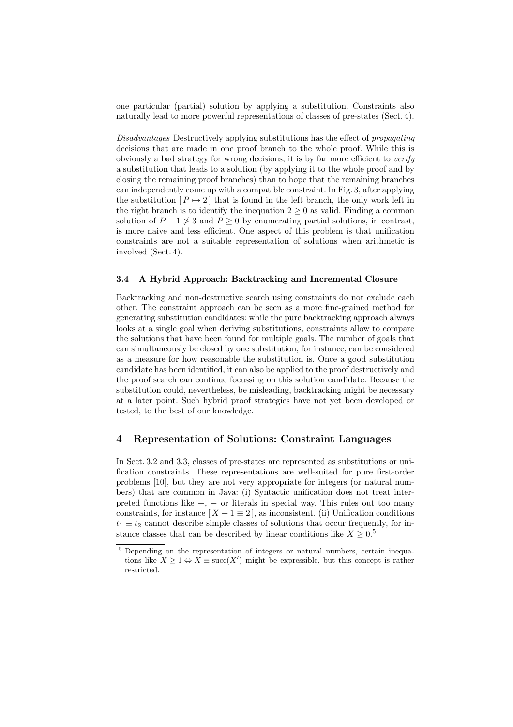one particular (partial) solution by applying a substitution. Constraints also naturally lead to more powerful representations of classes of pre-states (Sect. 4).

Disadvantages Destructively applying substitutions has the effect of propagating decisions that are made in one proof branch to the whole proof. While this is obviously a bad strategy for wrong decisions, it is by far more efficient to verify a substitution that leads to a solution (by applying it to the whole proof and by closing the remaining proof branches) than to hope that the remaining branches can independently come up with a compatible constraint. In Fig. 3, after applying the substitution  $[P \mapsto 2]$  that is found in the left branch, the only work left in the right branch is to identify the inequation  $2 \geq 0$  as valid. Finding a common solution of  $P + 1 \nless 3$  and  $P > 0$  by enumerating partial solutions, in contrast, is more naive and less efficient. One aspect of this problem is that unification constraints are not a suitable representation of solutions when arithmetic is involved (Sect. 4).

### 3.4 A Hybrid Approach: Backtracking and Incremental Closure

Backtracking and non-destructive search using constraints do not exclude each other. The constraint approach can be seen as a more fine-grained method for generating substitution candidates: while the pure backtracking approach always looks at a single goal when deriving substitutions, constraints allow to compare the solutions that have been found for multiple goals. The number of goals that can simultaneously be closed by one substitution, for instance, can be considered as a measure for how reasonable the substitution is. Once a good substitution candidate has been identified, it can also be applied to the proof destructively and the proof search can continue focussing on this solution candidate. Because the substitution could, nevertheless, be misleading, backtracking might be necessary at a later point. Such hybrid proof strategies have not yet been developed or tested, to the best of our knowledge.

## 4 Representation of Solutions: Constraint Languages

In Sect. 3.2 and 3.3, classes of pre-states are represented as substitutions or unification constraints. These representations are well-suited for pure first-order problems [10], but they are not very appropriate for integers (or natural numbers) that are common in Java: (i) Syntactic unification does not treat interpreted functions like  $+$ ,  $-$  or literals in special way. This rules out too many constraints, for instance  $[X + 1 \equiv 2]$ , as inconsistent. (ii) Unification conditions  $t_1 \equiv t_2$  cannot describe simple classes of solutions that occur frequently, for instance classes that can be described by linear conditions like  $X \geq 0.5$ 

<sup>5</sup> Depending on the representation of integers or natural numbers, certain inequations like  $X \geq 1 \Leftrightarrow X \equiv \text{succ}(X')$  might be expressible, but this concept is rather restricted.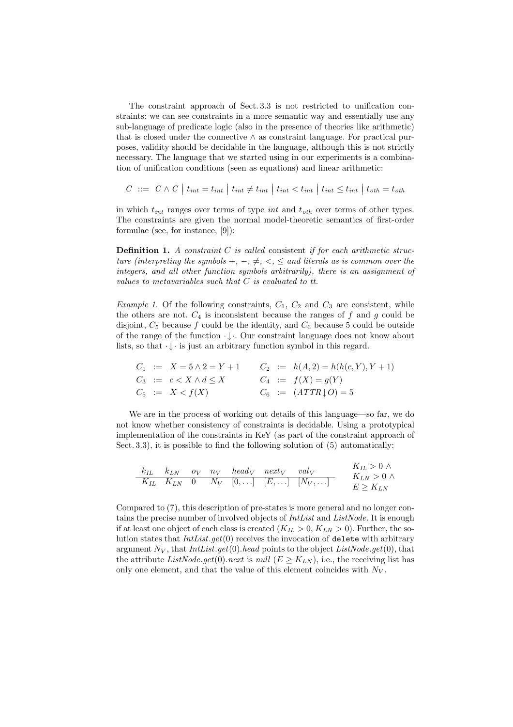The constraint approach of Sect. 3.3 is not restricted to unification constraints: we can see constraints in a more semantic way and essentially use any sub-language of predicate logic (also in the presence of theories like arithmetic) that is closed under the connective ∧ as constraint language. For practical purposes, validity should be decidable in the language, although this is not strictly necessary. The language that we started using in our experiments is a combination of unification conditions (seen as equations) and linear arithmetic:

```
C ::= C \wedge C | t_{int} = t_{int} | t_{int} \neq t_{int} | t_{int} < t_{int} | t_{int} \leq t_{int} | t_{oth} = t_{oth}
```
in which  $t_{int}$  ranges over terms of type int and  $t_{oth}$  over terms of other types. The constraints are given the normal model-theoretic semantics of first-order formulae (see, for instance, [9]):

**Definition 1.** A constraint  $C$  is called consistent if for each arithmetic structure (interpreting the symbols  $+, -, \neq, <, <$  and literals as is common over the integers, and all other function symbols arbitrarily), there is an assignment of values to metavariables such that C is evaluated to tt.

Example 1. Of the following constraints,  $C_1$ ,  $C_2$  and  $C_3$  are consistent, while the others are not.  $C_4$  is inconsistent because the ranges of f and g could be disjoint,  $C_5$  because f could be the identity, and  $C_6$  because 5 could be outside of the range of the function  $\cdot \downarrow \cdot$ . Our constraint language does not know about lists, so that  $\cdot \downarrow \cdot$  is just an arbitrary function symbol in this regard.

$$
C_1 := X = 5 \land 2 = Y + 1
$$
  
\n
$$
C_3 := c < X \land d \le X
$$
  
\n
$$
C_4 := f(X) = g(Y)
$$
  
\n
$$
C_5 := X < f(X)
$$
  
\n
$$
C_6 := (ATTR \downarrow O) = 5
$$

We are in the process of working out details of this language—so far, we do not know whether consistency of constraints is decidable. Using a prototypical implementation of the constraints in KeY (as part of the constraint approach of Sect. 3.3), it is possible to find the following solution of (5) automatically:

$$
\begin{array}{ccccccccc}\nk_{IL} & k_{LN} & o_V & n_V & head_V & next_V & val_V & K_{IL} > 0 \land \\
\hline\nK_{IL} & K_{LN} & 0 & N_V & [0, \ldots] & [E, \ldots] & [N_V, \ldots] & & E \geq K_{LN}\n\end{array}
$$

Compared to (7), this description of pre-states is more general and no longer contains the precise number of involved objects of *IntList* and *ListNode*. It is enough if at least one object of each class is created  $(K_{IL} > 0, K_{LN} > 0)$ . Further, the solution states that  $IntList.get(0)$  receives the invocation of delete with arbitrary argument  $N_V$ , that IntList.get(0).head points to the object ListNode.get(0), that the attribute ListNode.get(0).next is null  $(E \geq K_{LN})$ , i.e., the receiving list has only one element, and that the value of this element coincides with  $N_V$ .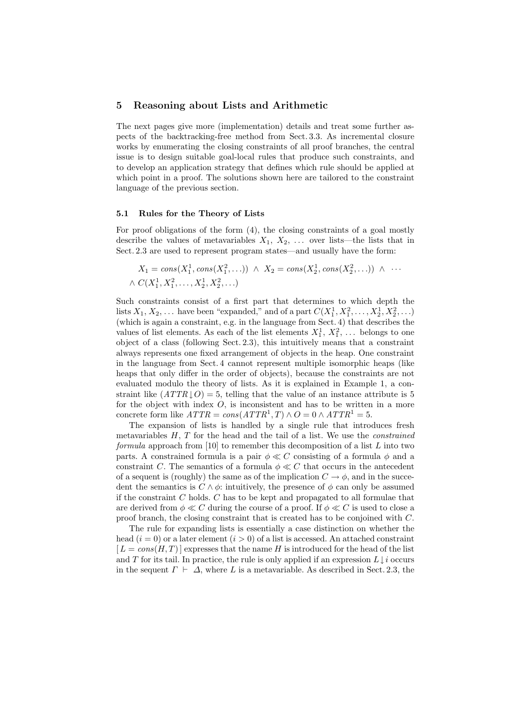### 5 Reasoning about Lists and Arithmetic

The next pages give more (implementation) details and treat some further aspects of the backtracking-free method from Sect. 3.3. As incremental closure works by enumerating the closing constraints of all proof branches, the central issue is to design suitable goal-local rules that produce such constraints, and to develop an application strategy that defines which rule should be applied at which point in a proof. The solutions shown here are tailored to the constraint language of the previous section.

#### 5.1 Rules for the Theory of Lists

For proof obligations of the form (4), the closing constraints of a goal mostly describe the values of metavariables  $X_1, X_2, \ldots$  over lists—the lists that in Sect. 2.3 are used to represent program states—and usually have the form:

$$
X_1 = cons(X_1^1, cons(X_1^2, \ldots)) \land X_2 = cons(X_2^1, cons(X_2^2, \ldots)) \land \cdots
$$
  
 
$$
\land C(X_1^1, X_1^2, \ldots, X_2^1, X_2^2, \ldots)
$$

Such constraints consist of a first part that determines to which depth the lists  $X_1, X_2, \ldots$  have been "expanded," and of a part  $C(X_1^1, X_1^2, \ldots, X_2^1, X_2^2, \ldots)$ (which is again a constraint, e.g. in the language from Sect. 4) that describes the values of list elements. As each of the list elements  $X_1^1, X_1^2, \ldots$  belongs to one object of a class (following Sect. 2.3), this intuitively means that a constraint always represents one fixed arrangement of objects in the heap. One constraint in the language from Sect. 4 cannot represent multiple isomorphic heaps (like heaps that only differ in the order of objects), because the constraints are not evaluated modulo the theory of lists. As it is explained in Example 1, a constraint like  $(ATTR \downarrow O) = 5$ , telling that the value of an instance attribute is 5 for the object with index  $O$ , is inconsistent and has to be written in a more concrete form like  $ATTR = cons(ATTR^1, T) \wedge O = 0 \wedge ATTR^1 = 5.$ 

The expansion of lists is handled by a single rule that introduces fresh metavariables  $H, T$  for the head and the tail of a list. We use the *constrained* formula approach from [10] to remember this decomposition of a list  $L$  into two parts. A constrained formula is a pair  $\phi \ll C$  consisting of a formula  $\phi$  and a constraint C. The semantics of a formula  $\phi \ll C$  that occurs in the antecedent of a sequent is (roughly) the same as of the implication  $C \to \phi$ , and in the succedent the semantics is  $C \wedge \phi$ : intuitively, the presence of  $\phi$  can only be assumed if the constraint  $C$  holds.  $C$  has to be kept and propagated to all formulae that are derived from  $\phi \ll C$  during the course of a proof. If  $\phi \ll C$  is used to close a proof branch, the closing constraint that is created has to be conjoined with C.

The rule for expanding lists is essentially a case distinction on whether the head  $(i = 0)$  or a later element  $(i > 0)$  of a list is accessed. An attached constraint  $[L = cons(H, T)]$  expresses that the name H is introduced for the head of the list and T for its tail. In practice, the rule is only applied if an expression  $L \downarrow i$  occurs in the sequent  $\Gamma \vdash \Delta$ , where L is a metavariable. As described in Sect. 2.3, the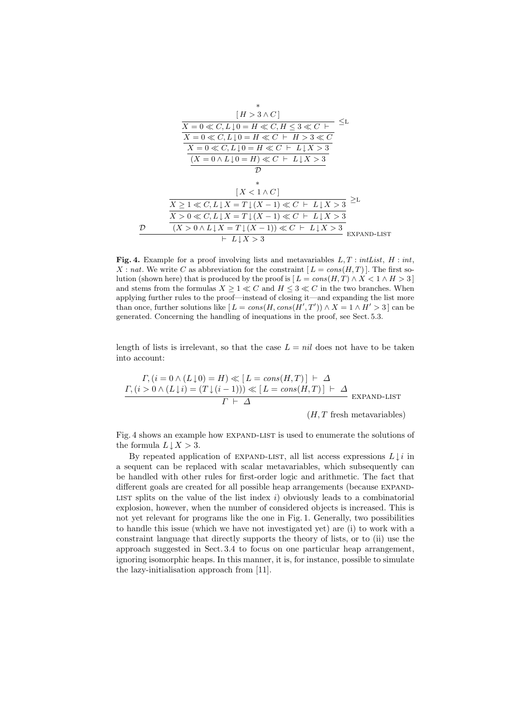

Fig. 4. Example for a proof involving lists and metavariables  $L, T : intList, H : int$ , X : nat. We write C as abbreviation for the constraint  $[L = const(H, T)]$ . The first solution (shown here) that is produced by the proof is  $[L = const(H, T) \wedge X < 1 \wedge H > 3]$ and stems from the formulas  $X \geq 1 \ll C$  and  $H \leq 3 \ll C$  in the two branches. When applying further rules to the proof—instead of closing it—and expanding the list more than once, further solutions like  $[L = const(H, cons(H', T')) \wedge X = 1 \wedge H' > 3]$  can be generated. Concerning the handling of inequations in the proof, see Sect. 5.3.

length of lists is irrelevant, so that the case  $L = nil$  does not have to be taken into account:

$$
\Gamma, (i = 0 \land (L \downarrow 0) = H) \ll [L = const(H, T)] \vdash \Delta
$$
\n
$$
\frac{\Gamma, (i > 0 \land (L \downarrow i) = (T \downarrow (i - 1))) \ll [L = const(H, T)] \vdash \Delta}{\Gamma \vdash \Delta}
$$
\nEXPAND-LIST

 $(H, T$  fresh metavariables)

Fig. 4 shows an example how EXPAND-LIST is used to enumerate the solutions of the formula  $L\downarrow X > 3$ .

By repeated application of EXPAND-LIST, all list access expressions  $L \downarrow i$  in a sequent can be replaced with scalar metavariables, which subsequently can be handled with other rules for first-order logic and arithmetic. The fact that different goals are created for all possible heap arrangements (because EXPAND-LIST splits on the value of the list index  $i$ ) obviously leads to a combinatorial explosion, however, when the number of considered objects is increased. This is not yet relevant for programs like the one in Fig. 1. Generally, two possibilities to handle this issue (which we have not investigated yet) are (i) to work with a constraint language that directly supports the theory of lists, or to (ii) use the approach suggested in Sect. 3.4 to focus on one particular heap arrangement, ignoring isomorphic heaps. In this manner, it is, for instance, possible to simulate the lazy-initialisation approach from [11].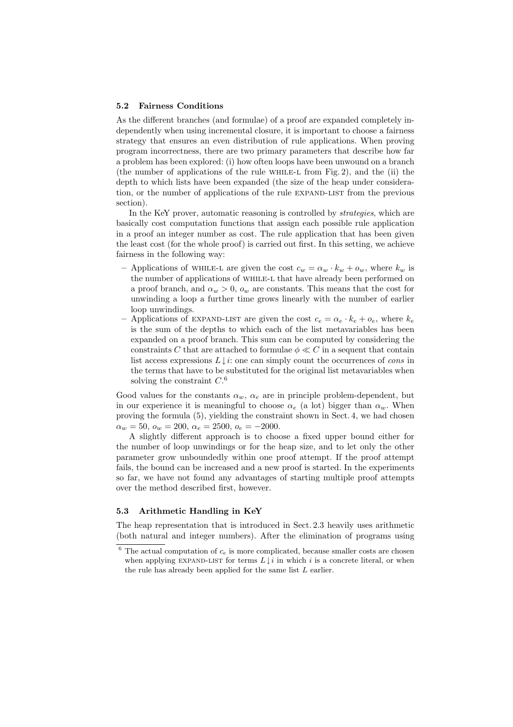#### 5.2 Fairness Conditions

As the different branches (and formulae) of a proof are expanded completely independently when using incremental closure, it is important to choose a fairness strategy that ensures an even distribution of rule applications. When proving program incorrectness, there are two primary parameters that describe how far a problem has been explored: (i) how often loops have been unwound on a branch (the number of applications of the rule WHILE-L from Fig. 2), and the (ii) the depth to which lists have been expanded (the size of the heap under consideration, or the number of applications of the rule EXPAND-LIST from the previous section).

In the KeY prover, automatic reasoning is controlled by *strategies*, which are basically cost computation functions that assign each possible rule application in a proof an integer number as cost. The rule application that has been given the least cost (for the whole proof) is carried out first. In this setting, we achieve fairness in the following way:

- Applications of WHILE-L are given the cost  $c_w = \alpha_w \cdot k_w + o_w$ , where  $k_w$  is the number of applications of while-l that have already been performed on a proof branch, and  $\alpha_w > 0$ ,  $\alpha_w$  are constants. This means that the cost for unwinding a loop a further time grows linearly with the number of earlier loop unwindings.
- Applications of EXPAND-LIST are given the cost  $c_e = \alpha_e \cdot k_e + o_e$ , where  $k_e$ is the sum of the depths to which each of the list metavariables has been expanded on a proof branch. This sum can be computed by considering the constraints C that are attached to formulae  $\phi \ll C$  in a sequent that contain list access expressions  $L \downarrow i$ : one can simply count the occurrences of cons in the terms that have to be substituted for the original list metavariables when solving the constraint  $C<sup>6</sup>$

Good values for the constants  $\alpha_w$ ,  $\alpha_e$  are in principle problem-dependent, but in our experience it is meaningful to choose  $\alpha_e$  (a lot) bigger than  $\alpha_w$ . When proving the formula (5), yielding the constraint shown in Sect. 4, we had chosen  $\alpha_w=50, \, o_w=200, \, \alpha_e=2500, \, o_e=-2000.$ 

A slightly different approach is to choose a fixed upper bound either for the number of loop unwindings or for the heap size, and to let only the other parameter grow unboundedly within one proof attempt. If the proof attempt fails, the bound can be increased and a new proof is started. In the experiments so far, we have not found any advantages of starting multiple proof attempts over the method described first, however.

### 5.3 Arithmetic Handling in KeY

The heap representation that is introduced in Sect. 2.3 heavily uses arithmetic (both natural and integer numbers). After the elimination of programs using

 $6$  The actual computation of  $c_e$  is more complicated, because smaller costs are chosen when applying EXPAND-LIST for terms  $L \downarrow i$  in which i is a concrete literal, or when the rule has already been applied for the same list L earlier.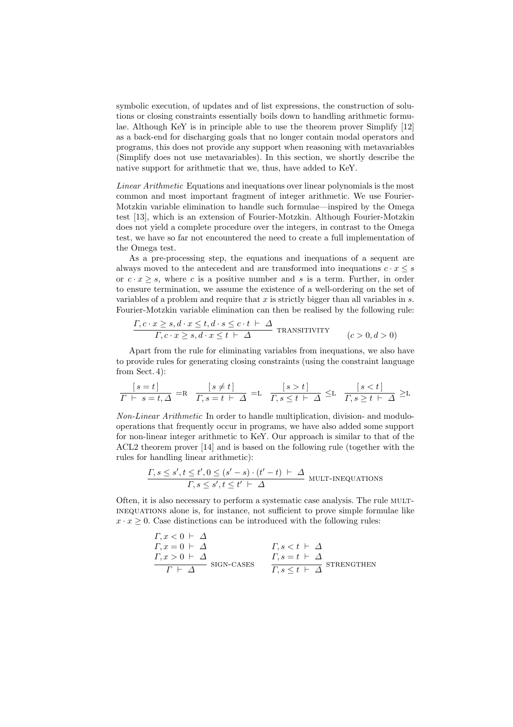symbolic execution, of updates and of list expressions, the construction of solutions or closing constraints essentially boils down to handling arithmetic formulae. Although KeY is in principle able to use the theorem prover Simplify [12] as a back-end for discharging goals that no longer contain modal operators and programs, this does not provide any support when reasoning with metavariables (Simplify does not use metavariables). In this section, we shortly describe the native support for arithmetic that we, thus, have added to KeY.

Linear Arithmetic Equations and inequations over linear polynomials is the most common and most important fragment of integer arithmetic. We use Fourier-Motzkin variable elimination to handle such formulae—inspired by the Omega test [13], which is an extension of Fourier-Motzkin. Although Fourier-Motzkin does not yield a complete procedure over the integers, in contrast to the Omega test, we have so far not encountered the need to create a full implementation of the Omega test.

As a pre-processing step, the equations and inequations of a sequent are always moved to the antecedent and are transformed into inequations  $c \cdot x \leq s$ or  $c \cdot x \geq s$ , where c is a positive number and s is a term. Further, in order to ensure termination, we assume the existence of a well-ordering on the set of variables of a problem and require that x is strictly bigger than all variables in s. Fourier-Motzkin variable elimination can then be realised by the following rule:

$$
\frac{\Gamma, c \cdot x \ge s, d \cdot x \le t, d \cdot s \le c \cdot t \vdash \Delta}{\Gamma, c \cdot x \ge s, d \cdot x \le t \vdash \Delta} \text{ TRANSITIVITY} \qquad (c > 0, d > 0)
$$

Apart from the rule for eliminating variables from inequations, we also have to provide rules for generating closing constraints (using the constraint language from Sect. 4):

$$
\frac{[s=t]}{\Gamma+s=t,\Delta} = \mathbf{R} \quad \frac{[s \neq t]}{\Gamma, s=t \vdash \Delta} = \mathbf{L} \quad \frac{[s > t]}{\Gamma, s \leq t \vdash \Delta} \leq \mathbf{L} \quad \frac{[s < t]}{\Gamma, s \geq t \vdash \Delta} \geq \mathbf{L}
$$

Non-Linear Arithmetic In order to handle multiplication, division- and modulooperations that frequently occur in programs, we have also added some support for non-linear integer arithmetic to KeY. Our approach is similar to that of the ACL2 theorem prover [14] and is based on the following rule (together with the rules for handling linear arithmetic):

$$
\frac{\Gamma, s \le s', t \le t', 0 \le (s'-s) \cdot (t'-t) + \Delta}{\Gamma, s \le s', t \le t' + \Delta}
$$
 MULT-INEQUATIONS

Often, it is also necessary to perform a systematic case analysis. The rule MULTinequations alone is, for instance, not sufficient to prove simple formulae like  $x \cdot x \geq 0$ . Case distinctions can be introduced with the following rules:

$$
r, x < 0 \vdash \Delta
$$
  
\n
$$
r, x = 0 \vdash \Delta
$$
  
\n
$$
r, x > 0 \vdash \Delta
$$
  
\n
$$
r + \Delta
$$
  
\n
$$
r, s < t \vdash \Delta
$$
  
\n
$$
r, s < t \vdash \Delta
$$
  
\n
$$
r, s \le t \vdash \Delta
$$
  
\n
$$
r, s \le t \vdash \Delta
$$
  
\n
$$
r, s \le t \vdash \Delta
$$
  
\n
$$
r, s \le t \vdash \Delta
$$
  
\n
$$
r, s \le t \vdash \Delta
$$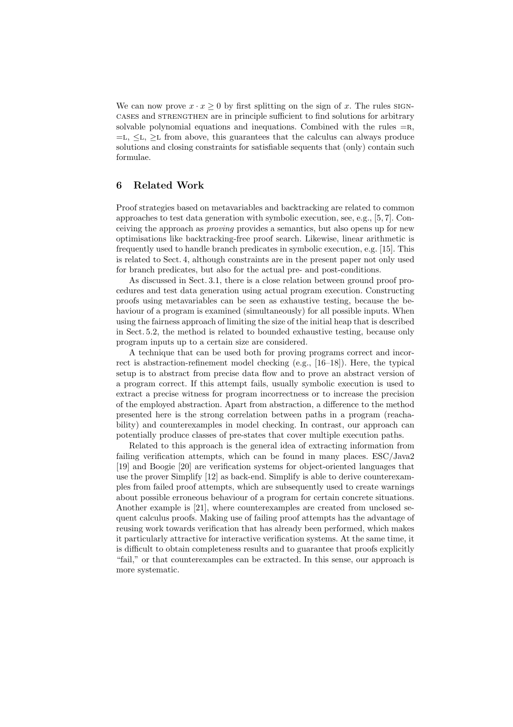We can now prove  $x \cdot x \geq 0$  by first splitting on the sign of x. The rules signcases and strengthen are in principle sufficient to find solutions for arbitrary solvable polynomial equations and inequations. Combined with the rules  $=R$ ,  $=L, \leq L$ ,  $\geq L$  from above, this guarantees that the calculus can always produce solutions and closing constraints for satisfiable sequents that (only) contain such formulae.

### 6 Related Work

Proof strategies based on metavariables and backtracking are related to common approaches to test data generation with symbolic execution, see, e.g., [5, 7]. Conceiving the approach as proving provides a semantics, but also opens up for new optimisations like backtracking-free proof search. Likewise, linear arithmetic is frequently used to handle branch predicates in symbolic execution, e.g. [15]. This is related to Sect. 4, although constraints are in the present paper not only used for branch predicates, but also for the actual pre- and post-conditions.

As discussed in Sect. 3.1, there is a close relation between ground proof procedures and test data generation using actual program execution. Constructing proofs using metavariables can be seen as exhaustive testing, because the behaviour of a program is examined (simultaneously) for all possible inputs. When using the fairness approach of limiting the size of the initial heap that is described in Sect. 5.2, the method is related to bounded exhaustive testing, because only program inputs up to a certain size are considered.

A technique that can be used both for proving programs correct and incorrect is abstraction-refinement model checking (e.g., [16–18]). Here, the typical setup is to abstract from precise data flow and to prove an abstract version of a program correct. If this attempt fails, usually symbolic execution is used to extract a precise witness for program incorrectness or to increase the precision of the employed abstraction. Apart from abstraction, a difference to the method presented here is the strong correlation between paths in a program (reachability) and counterexamples in model checking. In contrast, our approach can potentially produce classes of pre-states that cover multiple execution paths.

Related to this approach is the general idea of extracting information from failing verification attempts, which can be found in many places. ESC/Java2 [19] and Boogie [20] are verification systems for object-oriented languages that use the prover Simplify [12] as back-end. Simplify is able to derive counterexamples from failed proof attempts, which are subsequently used to create warnings about possible erroneous behaviour of a program for certain concrete situations. Another example is [21], where counterexamples are created from unclosed sequent calculus proofs. Making use of failing proof attempts has the advantage of reusing work towards verification that has already been performed, which makes it particularly attractive for interactive verification systems. At the same time, it is difficult to obtain completeness results and to guarantee that proofs explicitly "fail," or that counterexamples can be extracted. In this sense, our approach is more systematic.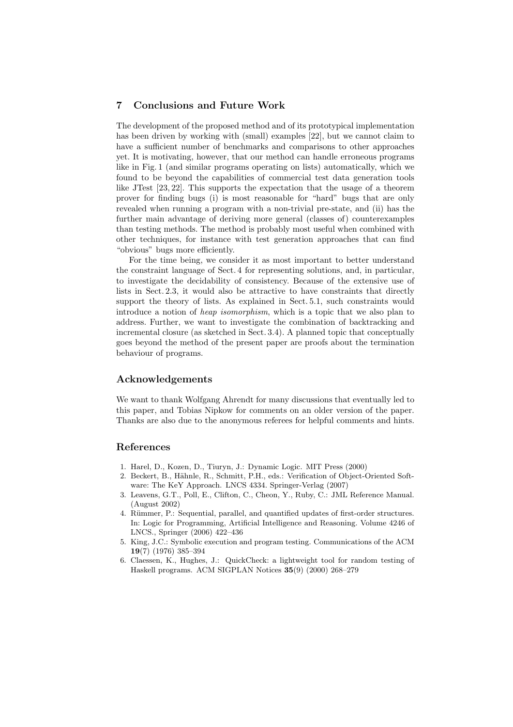# 7 Conclusions and Future Work

The development of the proposed method and of its prototypical implementation has been driven by working with (small) examples [22], but we cannot claim to have a sufficient number of benchmarks and comparisons to other approaches yet. It is motivating, however, that our method can handle erroneous programs like in Fig. 1 (and similar programs operating on lists) automatically, which we found to be beyond the capabilities of commercial test data generation tools like JTest [23, 22]. This supports the expectation that the usage of a theorem prover for finding bugs (i) is most reasonable for "hard" bugs that are only revealed when running a program with a non-trivial pre-state, and (ii) has the further main advantage of deriving more general (classes of) counterexamples than testing methods. The method is probably most useful when combined with other techniques, for instance with test generation approaches that can find "obvious" bugs more efficiently.

For the time being, we consider it as most important to better understand the constraint language of Sect. 4 for representing solutions, and, in particular, to investigate the decidability of consistency. Because of the extensive use of lists in Sect. 2.3, it would also be attractive to have constraints that directly support the theory of lists. As explained in Sect. 5.1, such constraints would introduce a notion of heap isomorphism, which is a topic that we also plan to address. Further, we want to investigate the combination of backtracking and incremental closure (as sketched in Sect. 3.4). A planned topic that conceptually goes beyond the method of the present paper are proofs about the termination behaviour of programs.

#### Acknowledgements

We want to thank Wolfgang Ahrendt for many discussions that eventually led to this paper, and Tobias Nipkow for comments on an older version of the paper. Thanks are also due to the anonymous referees for helpful comments and hints.

### References

- 1. Harel, D., Kozen, D., Tiuryn, J.: Dynamic Logic. MIT Press (2000)
- 2. Beckert, B., Hähnle, R., Schmitt, P.H., eds.: Verification of Object-Oriented Software: The KeY Approach. LNCS 4334. Springer-Verlag (2007)
- 3. Leavens, G.T., Poll, E., Clifton, C., Cheon, Y., Ruby, C.: JML Reference Manual. (August 2002)
- 4. Rümmer, P.: Sequential, parallel, and quantified updates of first-order structures. In: Logic for Programming, Artificial Intelligence and Reasoning. Volume 4246 of LNCS., Springer (2006) 422–436
- 5. King, J.C.: Symbolic execution and program testing. Communications of the ACM 19(7) (1976) 385–394
- 6. Claessen, K., Hughes, J.: QuickCheck: a lightweight tool for random testing of Haskell programs. ACM SIGPLAN Notices 35(9) (2000) 268–279